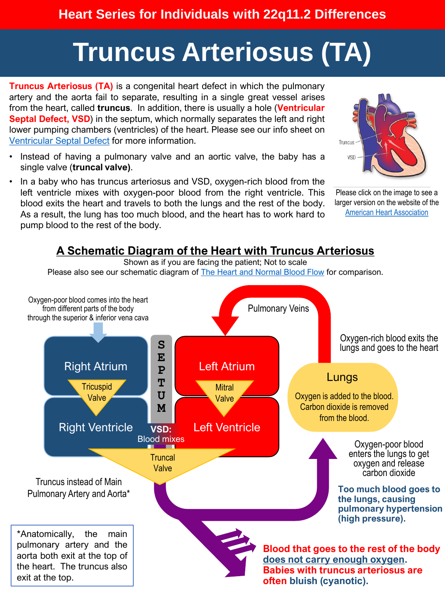#### **Heart Series for Individuals with 22q11.2 Differences**

# **Truncus Arteriosus (TA)**

**Truncus Arteriosus (TA)** is a congenital heart defect in which the pulmonary artery and the aorta fail to separate, resulting in a single great vessel arises from the heart, called **truncus**. In addition, there is usually a hole (**Ventricular Septal Defect, VSD**) in the septum, which normally separates the left and right lower pumping chambers (ventricles) of the heart. Please see our info sheet on [Ventricular](https://22q.org/symptoms-care/health-conditions-explained/) Septal Defect for more information.

- Instead of having a pulmonary valve and an aortic valve, the baby has a single valve (**truncal valve)**.
- In a baby who has truncus arteriosus and VSD, oxygen-rich blood from the left ventricle mixes with oxygen-poor blood from the right ventricle. This blood exits the heart and travels to both the lungs and the rest of the body. As a result, the lung has too much blood, and the heart has to work hard to pump blood to the rest of the body.



Please click on the image to see a larger version on the website of the [American Heart Association](https://www.heart.org/en/health-topics/congenital-heart-defects/about-congenital-heart-defects/truncus-arteriosus)